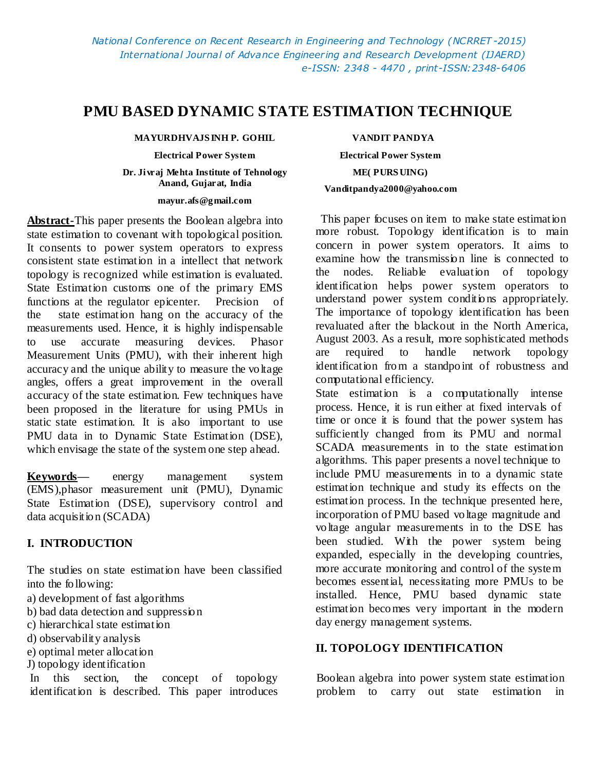*National Conference on Recent Research in Engineering and Technology (NCRRET -2015) International Journal of Advance Engineering and Research Development (IJAERD) e-ISSN: 2348 - 4470 , print-ISSN:2348-6406*

# **PMU BASED DYNAMIC STATE ESTIMATION TECHNIQUE**

#### **MAYURDHVAJS INH P. GOHIL VANDIT PANDYA**

**Dr. Jivraj Mehta Institute of Tehnology Anand, Gujarat, India**

#### **mayur.afs@gmail.com**

Abstract-This paper presents the Boolean algebra into state estimation to covenant with topological position. It consents to power system operators to express consistent state estimation in a intellect that network topology is recognized while estimation is evaluated. State Estimation customs one of the primary EMS functions at the regulator epicenter. Precision of the state estimation hang on the accuracy of the measurements used. Hence, it is highly indispensable to use accurate measuring devices. Phasor Measurement Units (PMU), with their inherent high accuracy and the unique ability to measure the voltage angles, offers a great improvement in the overall accuracy of the state estimation. Few techniques have been proposed in the literature for using PMUs in static state estimation. It is also important to use PMU data in to Dynamic State Estimation (DSE), which envisage the state of the system one step ahead.

**Keywords—** energy management system (EMS),phasor measurement unit (PMU), Dynamic State Estimation (DSE), supervisory control and data acquisition (SCADA)

## **I. INTRODUCTION**

The studies on state estimation have been classified into the fo llowing:

- a) development of fast algorithms
- b) bad data detection and suppressio n
- c) hierarchical state estimation
- d) observability analysis
- e) optimal meter allocation
- J) topology identification

In this section, the concept of topology identification is described. This paper introduces

**Electrical Power System Electrical Power System ME( PURS UING) Vanditpandya2000@yahoo.com**

> This paper focuses on item to make state estimation more robust. Topology identification is to main concern in power system operators. It aims to examine how the transmission line is connected to the nodes. Reliable evaluation of topology identification helps power system operators to understand power system conditions appropriately. The importance of topology identification has been revaluated after the blackout in the North America, August 2003. As a result, more sophisticated methods are required to handle network topology identification from a standpoint of robustness and computational efficiency.

State estimation is a computationally intense process. Hence, it is run either at fixed intervals of time or once it is found that the power system has sufficiently changed from its PMU and normal SCADA measurements in to the state estimation algorithms. This paper presents a novel technique to include PMU measurements in to a dynamic state estimation technique and study its effects on the estimation process. In the technique presented here, incorporation of PMU based voltage magnitude and voltage angular measurements in to the DSE has been studied. With the power system being expanded, especially in the developing countries, more accurate monitoring and control of the system becomes essential, necessitating more PMUs to be installed. Hence, PMU based dynamic state estimation becomes very important in the modern day energy management systems.

## **II. TOPOLOGY IDENTIFICATION**

Boolean algebra into power system state estimation problem to carry out state estimation in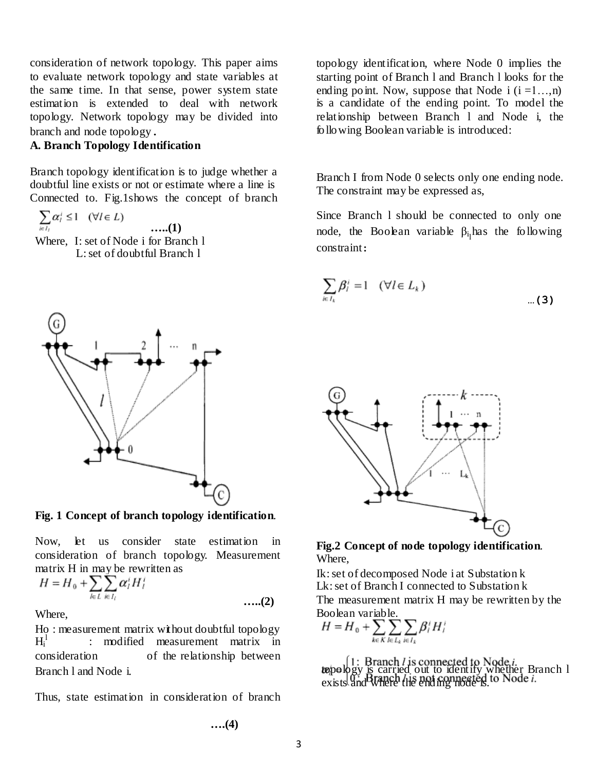consideration of network topology. This paper aims to evaluate network topology and state variables at the same time. In that sense, power system state estimation is extended to deal with network topology. Network topology may be divided into branch and node topology.

### **A. Branch Topology Identification**

Branch topology identification is to judge whether a doubtful line exists or not or estimate where a line is Connected to. Fig.1shows the concept of branch

$$
\sum_{i \in I_i} \alpha_i^i \le 1 \quad (\forall l \in L)
$$
\nwhere, I: set of Node i for Branch 1

\nL: set of double full Branch 1



**Fig. 1 Concept of branch topology identification**.

Now, let us consider state estimation in consideration of branch topology. Measurement matrix H in may be rewritten as

$$
H = H_0 + \sum_{l \in L} \sum_{i \in I_l} \alpha_l^i H_l^i
$$
...(2)

Where,

Ho : measurement matrix without doubtful topology  $H_i^1$ : modified measurement matrix in consideration of the relationship between Branch l and Node i.

Thus, state estimation in consideration of branch

topology identification, where Node 0 implies the starting point of Branch l and Branch l looks for the ending point. Now, suppose that Node i  $(i = 1...n)$ is a candidate of the ending point. To model the relationship between Branch l and Node i, the following Boolean variable is introduced:

Branch I from Node 0 selects only one ending node. The constraint may be expressed as,

node, the Boolean variable  $\beta_{i_1}$  has the following Since Branch l should be connected to only one constraint:

$$
\sum_{i \in I_k} \beta_i^i = 1 \quad (\forall l \in L_k)
$$
 ... (3)



### **Fig.2 Concept of node topology identification**. Where,

Ik:set of decomposed Node i at Substation k Lk: set of Branch I connected to Substation k The measurement matrix H may be rewritten by the Boolean variable.

$$
H = H_0 + \sum_{k \in K} \sum_{l \in L_k} \sum_{i \in I_k} \beta_l^i H_l^i
$$

topology is carried out to identify whether Branch l exists and where the ending node is.

 **….(4)**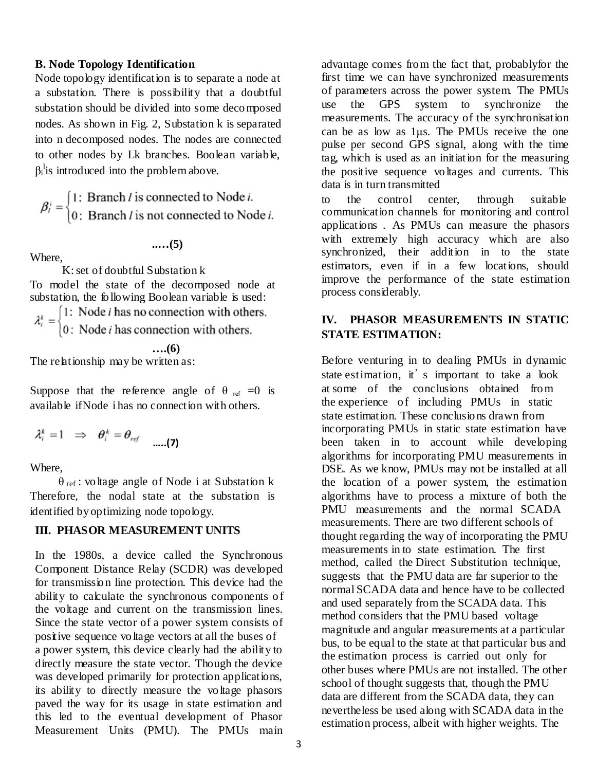#### **B. Node Topology Identification**

 $\beta_i$ <sup>1</sup> is introduced into the problem above. Node topology identification is to separate a node at a substation. There is possibility that a doubtful substation should be divided into some decomposed nodes. As shown in Fig. 2, Substation k is separated into n decomposed nodes. The nodes are connected to other nodes by Lk branches. Boolean variable,

 $\beta_i^i = \begin{cases} 1: \text{Branch } l \text{ is connected to Node } i. \\ 0: \text{ Branch } l \text{ is not connected to Node } i. \end{cases}$ 

**..…(5)**

Where,

K:set of doubtful Substation k

To model the state of the decomposed node at

substation, the following Boolean variable is used:<br> $\lambda_i^k = \begin{cases} 1: \text{Node } i \text{ has no connection with others.} \\ 0: \text{Node } i \text{ has connection with others.} \end{cases}$ 

**….(6)** The relationship may be written as:

Suppose that the reference angle of  $\theta_{ref} = 0$  is available ifNode i has no connection with others.

$$
\lambda_i^k = 1 \quad \Rightarrow \quad \theta_i^k = \theta_{ref} \quad \dots (7)
$$

Where,

 $\theta_{ref}$ : voltage angle of Node i at Substation k Therefore, the nodal state at the substation is identified by optimizing node topology.

### **III. PHASOR MEASUREMENT UNITS**

In the 1980s, a device called the Synchronous Component Distance Relay (SCDR) was developed for transmission line protection. This device had the ability to calculate the synchronous components of the voltage and current on the transmission lines. Since the state vector of a power system consists of positive sequence vo ltage vectors at all the buses of a power system, this device clearly had the ability to directly measure the state vector. Though the device was developed primarily for protection applications, its ability to directly measure the voltage phasors paved the way for its usage in state estimation and this led to the eventual development of Phasor Measurement Units (PMU). The PMUs main

advantage comes from the fact that, probablyfor the first time we can have synchronized measurements of parameters across the power system. The PMUs use the GPS system to synchronize the measurements. The accuracy of the synchronisation can be as low as 1μs. The PMUs receive the one pulse per second GPS signal, along with the time tag, which is used as an initiation for the measuring the positive sequence voltages and currents. This data is in turn transmitted

to the control center, through suitable communication channels for monitoring and control applications . As PMUs can measure the phasors with extremely high accuracy which are also synchronized, their addition in to the state estimators, even if in a few locations, should improve the performance of the state estimation process considerably.

### **IV. PHASOR MEASUREMENTS IN STATIC STATE ESTIMATION:**

Before venturing in to dealing PMUs in dynamic state estimation, it's important to take a look at some of the conclusions obtained from the experience of including PMUs in static state estimation. These conclusio ns drawn from incorporating PMUs in static state estimation have been taken in to account while developing algorithms for incorporating PMU measurements in DSE. As we know, PMUs may not be installed at all the location of a power system, the estimation algorithms have to process a mixture of both the PMU measurements and the normal SCADA measurements. There are two different schools of thought regarding the way of incorporating the PMU measurements in to state estimation. The first method, called the Direct Substitution technique, suggests that the PMU data are far superior to the normal SCADA data and hence have to be collected and used separately from the SCADA data. This method considers that the PMU based voltage magnitude and angular measurements at a particular bus, to be equal to the state at that particular bus and the estimation process is carried out only for other buses where PMUs are not installed. The other school of thought suggests that, though the PMU data are different from the SCADA data, they can nevertheless be used along with SCADA data in the estimation process, albeit with higher weights. The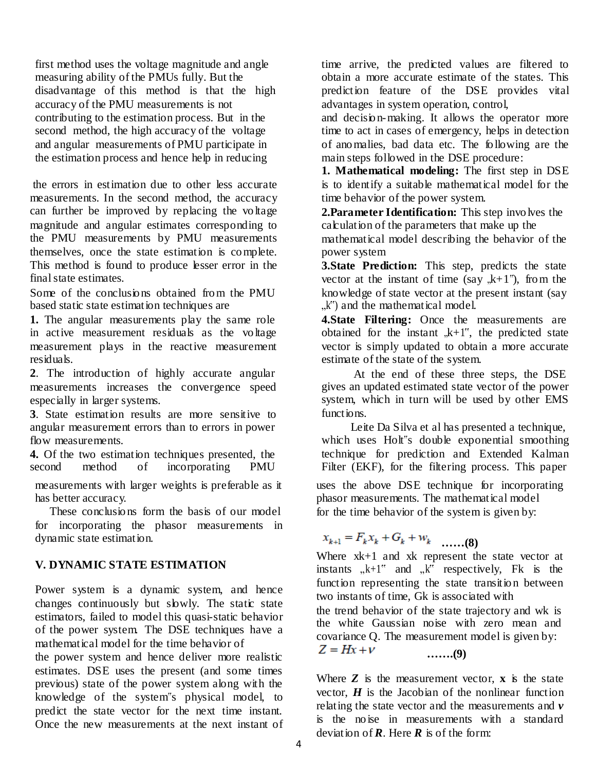first method uses the voltage magnitude and angle measuring ability of the PMUs fully. But the disadvantage of this method is that the high accuracy of the PMU measurements is not contributing to the estimation process. But in the second method, the high accuracy of the voltage and angular measurements of PMU participate in the estimation process and hence help in reducing

the errors in estimation due to other less accurate measurements. In the second method, the accuracy can further be improved by replacing the vo ltage magnitude and angular estimates corresponding to the PMU measurements by PMU measurements themselves, once the state estimation is complete. This method is found to produce lesser error in the finalstate estimates.

Some of the conclusions obtained from the PMU based static state estimation techniques are

**1.** The angular measurements play the same role in active measurement residuals as the vo ltage measurement plays in the reactive measurement residuals.

**2**. The introduction of highly accurate angular measurements increases the convergence speed especially in larger systems.

**3**. State estimation results are more sensitive to angular measurement errors than to errors in power flow measurements.

**4.** Of the two estimation techniques presented, the second method of incorporating PMU

measurements with larger weights is preferable as it has better accuracy.

These conclusio ns form the basis of our model for incorporating the phasor measurements in dynamic state estimation.

## **V. DYNAMIC STATE ESTIMATION**

Power system is a dynamic system, and hence changes continuously but sbwly. The static state estimators, failed to model this quasi-static behavior of the power system. The DSE techniques have a mathematical model for the time behavior of

the power system and hence deliver more realistic estimates. DSE uses the present (and some times previous) state of the power system along with the knowledge of the system"s physical model, to predict the state vector for the next time instant. Once the new measurements at the next instant of time arrive, the predicted values are filtered to obtain a more accurate estimate of the states. This prediction feature of the DSE provides vital advantages in system operation, control,

and decisio n-making. It allows the operator more time to act in cases of emergency, helps in detection of anomalies, bad data etc. The fo llowing are the main steps followed in the DSE procedure:

**1. Mathematical modeling:** The first step in DSE is to identify a suitable mathematical model for the time behavior of the power system.

**2.Parameter Identification:** This step involves the calculation of the parameters that make up the

mathematical model describing the behavior of the power system

**3. State Prediction:** This step, predicts the state vector at the instant of time (say  $k+1$ "), from the knowledge of state vector at the present instant (say  $\mu$ ") and the mathematical model.

**4.State Filtering:** Once the measurements are obtained for the instant  $k+1$ ", the predicted state vector is simply updated to obtain a more accurate estimate of the state of the system.

At the end of these three steps, the DSE gives an updated estimated state vector of the power system, which in turn will be used by other EMS functions.

Leite Da Silva et al has presented a technique, which uses Holt"s double exponential smoothing technique for prediction and Extended Kalman Filter (EKF), for the filtering process. This paper

uses the above DSE technique for incorporating phasor measurements. The mathematical model for the time behavior of the system is given by:

$$
x_{k+1} = F_k x_k + G_k + w_k \quad \dots (8)
$$

Where  $x + 1$  and  $x$ k represent the state vector at instants  $x + 1$ " and  $x + 1$ " respectively, Fk is the function representing the state transition between two instants of time, Gk is associated with

the trend behavior of the state trajectory and wk is the white Gaussian noise with zero mean and covariance Q. The measurement model is given by: z

$$
= Hx + v \qquad \qquad \ldots \ldots (9)
$$

Where  $Z$  is the measurement vector,  $x$  is the state vector,  $H$  is the Jacobian of the nonlinear function relating the state vector and the measurements and *v*  is the noise in measurements with a standard deviation of *R*. Here *R* is of the form: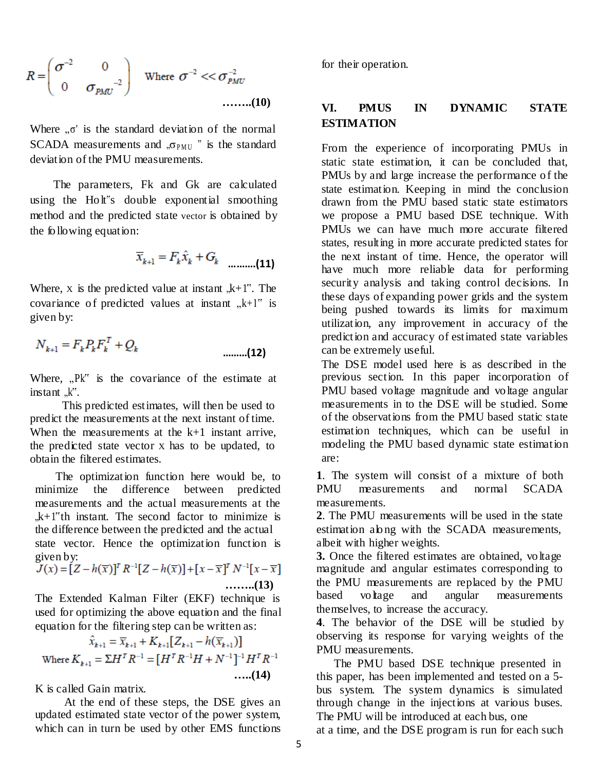$$
R = \begin{pmatrix} \sigma^{-2} & 0 \\ 0 & \sigma_{PMC} \end{pmatrix} \text{ Where } \sigma^{-2} << \sigma_{PMC}^{-2} \dots (10)
$$

Where  $\sqrt{\sigma}$  is the standard deviation of the normal SCADA measurements and  $_{,\sigma_{PMU}}$ " is the standard deviation of the PMU measurements.

The parameters, Fk and Gk are calculated using the Holt"s double exponential smoothing method and the predicted state vector is obtained by the fo llowing equation:

**……….(11)**

Where,  $x$  is the predicted value at instant  $k+1$ . The covariance of predicted values at instant  $k+1$ " is given by:

$$
N_{k+1} = F_k P_k F_k^T + Q_k
$$
 .........(12)

Where,  $\mathbb{R}^n$  is the covariance of the estimate at  $instant$   $\mathbf{.}k$ ".

This predicted estimates, will then be used to predict the measurements at the next instant of time. When the measurements at the k+1 instant arrive, the predicted state vector X has to be updated, to obtain the filtered estimates.

The optimization function here would be, to minimize the difference between predicted measurements and the actual measurements at the  $k+1$ "th instant. The second factor to minimize is the difference between the predicted and the actual state vector. Hence the optimization function is given by:<br> $J(x) = [Z - h(\overline{x})]^T R^{-1} [Z - h(\overline{x})] + [x - \overline{x}]^T N^{-1} [x - \overline{x}]$ 

 **……..(13)**

The Extended Kalman Filter (EKF) technique is used for optimizing the above equation and the final equation for the filtering step can be written as:

$$
\hat{x}_{k+1} = \overline{x}_{k+1} + K_{k+1}[Z_{k+1} - h(\overline{x}_{k+1})]
$$
  
Where  $K_{k+1} = \Sigma H^T R^{-1} = [H^T R^{-1} H + N^{-1}]^{-1} H^T R^{-1}$   
......(14)

K is called Gain matrix.

At the end of these steps, the DSE gives an updated estimated state vector of the power system, which can in turn be used by other EMS functions for their operation.

### **VI. PMUS IN DYNAMIC STATE ESTIMATION**

From the experience of incorporating PMUs in static state estimation, it can be concluded that, PMUs by and large increase the performance of the state estimation. Keeping in mind the conclusion drawn from the PMU based static state estimators we propose a PMU based DSE technique. With PMUs we can have much more accurate filtered states, resulting in more accurate predicted states for the next instant of time. Hence, the operator will have much more reliable data for performing security analysis and taking control decisions. In these days of expanding power grids and the system being pushed towards its limits for maximum utilization, any improvement in accuracy of the prediction and accuracy of estimated state variables can be extremely useful.

The DSE model used here is as described in the previous section. In this paper incorporation of PMU based voltage magnitude and voltage angular measurements in to the DSE will be studied. Some of the observations from the PMU based static state estimation techniques, which can be useful in modeling the PMU based dynamic state estimation are:

**1**. The system will consist of a mixture of both PMU measurements and normal SCADA measurements.

**2**. The PMU measurements will be used in the state estimation along with the SCADA measurements, albeit with higher weights.

**3.** Once the filtered estimates are obtained, voltage magnitude and angular estimates corresponding to the PMU measurements are replaced by the PMU based voltage and angular measurements themselves, to increase the accuracy.

**4**. The behavior of the DSE will be studied by observing its response for varying weights of the PMU measurements.

The PMU based DSE technique presented in this paper, has been implemented and tested on a 5 bus system. The system dynamics is simulated through change in the injections at various buses. The PMU will be introduced at each bus, one at a time, and the DSE program is run for each such